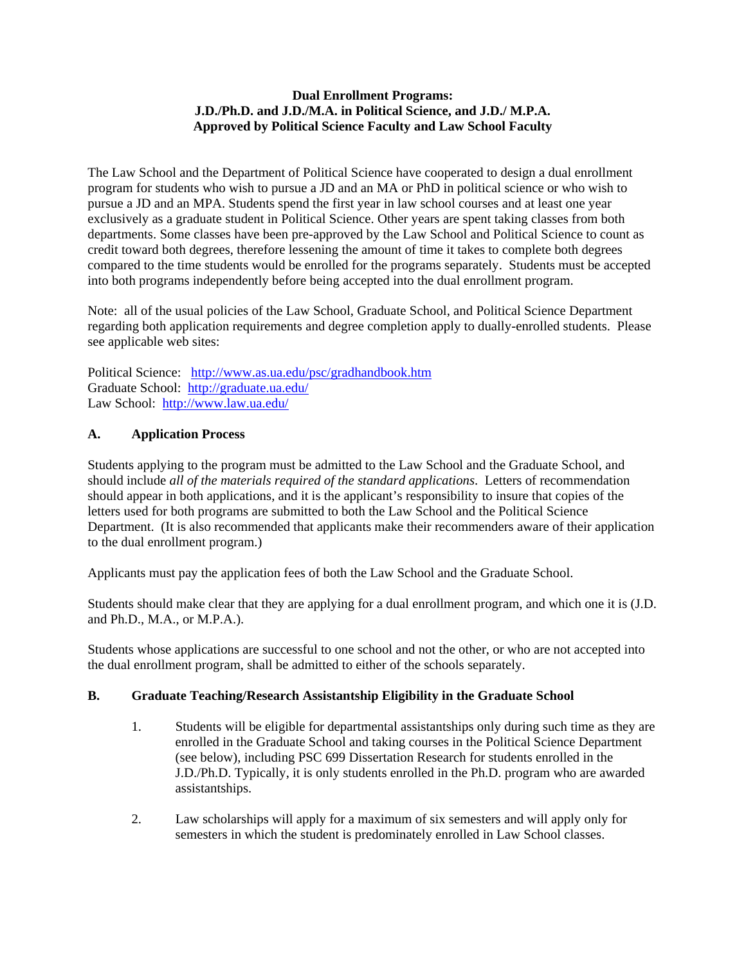## **Dual Enrollment Programs: J.D./Ph.D. and J.D./M.A. in Political Science, and J.D./ M.P.A. Approved by Political Science Faculty and Law School Faculty**

The Law School and the Department of Political Science have cooperated to design a dual enrollment program for students who wish to pursue a JD and an MA or PhD in political science or who wish to pursue a JD and an MPA. Students spend the first year in law school courses and at least one year exclusively as a graduate student in Political Science. Other years are spent taking classes from both departments. Some classes have been pre-approved by the Law School and Political Science to count as credit toward both degrees, therefore lessening the amount of time it takes to complete both degrees compared to the time students would be enrolled for the programs separately. Students must be accepted into both programs independently before being accepted into the dual enrollment program.

Note: all of the usual policies of the Law School, Graduate School, and Political Science Department regarding both application requirements and degree completion apply to dually-enrolled students. Please see applicable web sites:

Political Science: <http://www.as.ua.edu/psc/gradhandbook.htm> Graduate School: <http://graduate.ua.edu/> Law School: <http://www.law.ua.edu/>

# **A. Application Process**

Students applying to the program must be admitted to the Law School and the Graduate School, and should include *all of the materials required of the standard applications*. Letters of recommendation should appear in both applications, and it is the applicant's responsibility to insure that copies of the letters used for both programs are submitted to both the Law School and the Political Science Department. (It is also recommended that applicants make their recommenders aware of their application to the dual enrollment program.)

Applicants must pay the application fees of both the Law School and the Graduate School.

Students should make clear that they are applying for a dual enrollment program, and which one it is (J.D. and Ph.D., M.A., or M.P.A.).

Students whose applications are successful to one school and not the other, or who are not accepted into the dual enrollment program, shall be admitted to either of the schools separately.

# **B. Graduate Teaching/Research Assistantship Eligibility in the Graduate School**

- 1. Students will be eligible for departmental assistantships only during such time as they are enrolled in the Graduate School and taking courses in the Political Science Department (see below), including PSC 699 Dissertation Research for students enrolled in the J.D./Ph.D. Typically, it is only students enrolled in the Ph.D. program who are awarded assistantships.
- 2. Law scholarships will apply for a maximum of six semesters and will apply only for semesters in which the student is predominately enrolled in Law School classes.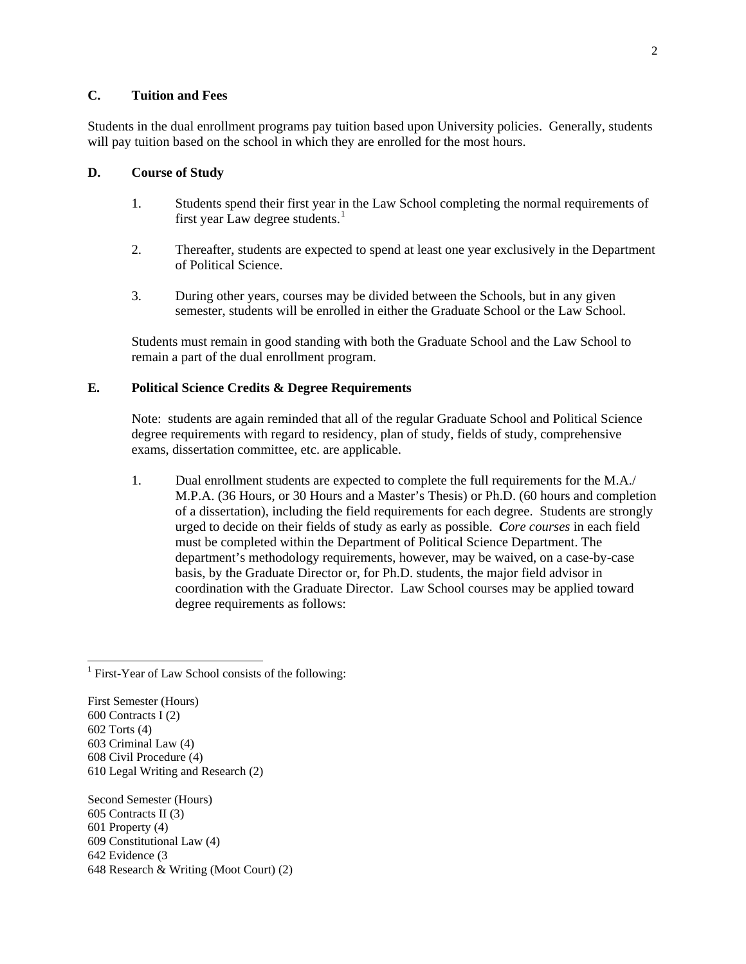## **C. Tuition and Fees**

Students in the dual enrollment programs pay tuition based upon University policies. Generally, students will pay tuition based on the school in which they are enrolled for the most hours.

#### **D. Course of Study**

- 1. Students spend their first year in the Law School completing the normal requirements of first year Law degree students. $<sup>1</sup>$  $<sup>1</sup>$  $<sup>1</sup>$ </sup>
- 2. Thereafter, students are expected to spend at least one year exclusively in the Department of Political Science.
- 3. During other years, courses may be divided between the Schools, but in any given semester, students will be enrolled in either the Graduate School or the Law School.

Students must remain in good standing with both the Graduate School and the Law School to remain a part of the dual enrollment program.

## **E. Political Science Credits & Degree Requirements**

Note: students are again reminded that all of the regular Graduate School and Political Science degree requirements with regard to residency, plan of study, fields of study, comprehensive exams, dissertation committee, etc. are applicable.

1. Dual enrollment students are expected to complete the full requirements for the M.A./ M.P.A. (36 Hours, or 30 Hours and a Master's Thesis) or Ph.D. (60 hours and completion of a dissertation), including the field requirements for each degree. Students are strongly urged to decide on their fields of study as early as possible.*Core courses* in each field must be completed within the Department of Political Science Department. The department's methodology requirements, however, may be waived, on a case-by-case basis, by the Graduate Director or, for Ph.D. students, the major field advisor in coordination with the Graduate Director. Law School courses may be applied toward degree requirements as follows:

First Semester (Hours) 600 Contracts I (2) 602 Torts (4) 603 Criminal Law (4) 608 Civil Procedure (4) 610 Legal Writing and Research (2)

Second Semester (Hours) 605 Contracts II (3) 601 Property (4) 609 Constitutional Law (4) 642 Evidence (3 648 Research & Writing (Moot Court) (2)

<span id="page-1-0"></span><sup>&</sup>lt;sup>1</sup> First-Year of Law School consists of the following: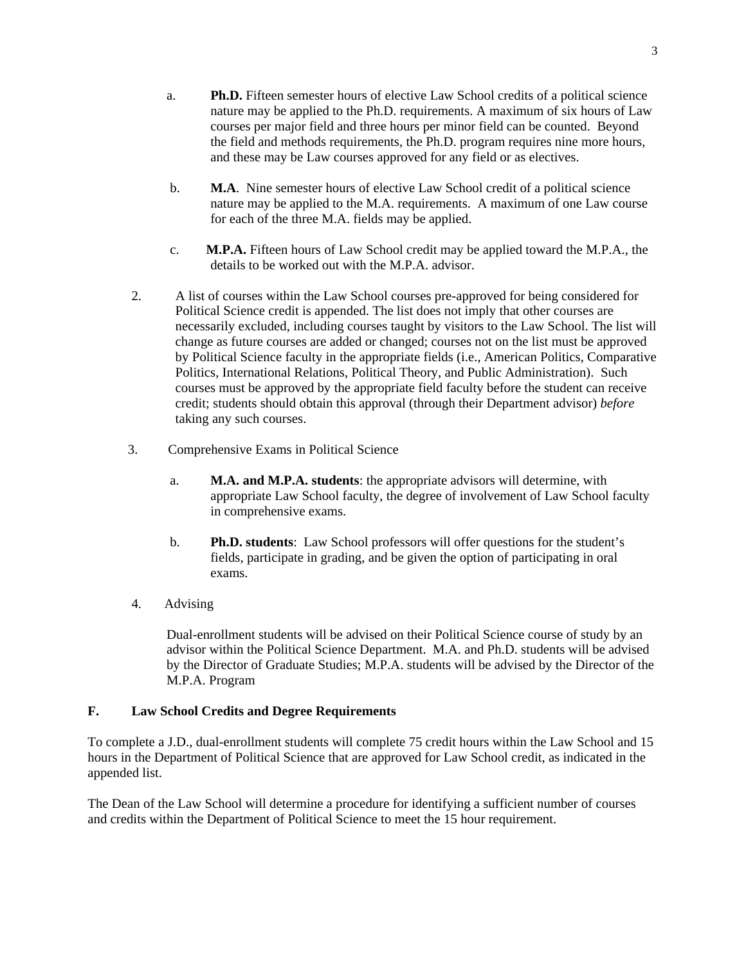- a. **Ph.D.** Fifteen semester hours of elective Law School credits of a political science nature may be applied to the Ph.D. requirements. A maximum of six hours of Law courses per major field and three hours per minor field can be counted. Beyond the field and methods requirements, the Ph.D. program requires nine more hours, and these may be Law courses approved for any field or as electives.
- b. **M.A**. Nine semester hours of elective Law School credit of a political science nature may be applied to the M.A. requirements. A maximum of one Law course for each of the three M.A. fields may be applied.
- c. **M.P.A.** Fifteen hours of Law School credit may be applied toward the M.P.A., the details to be worked out with the M.P.A. advisor.
- 2. A list of courses within the Law School courses pre-approved for being considered for Political Science credit is appended. The list does not imply that other courses are necessarily excluded, including courses taught by visitors to the Law School. The list will change as future courses are added or changed; courses not on the list must be approved by Political Science faculty in the appropriate fields (i.e., American Politics, Comparative Politics, International Relations, Political Theory, and Public Administration). Such courses must be approved by the appropriate field faculty before the student can receive credit; students should obtain this approval (through their Department advisor) *before* taking any such courses.
- 3. Comprehensive Exams in Political Science
	- a. **M.A. and M.P.A. students**: the appropriate advisors will determine, with appropriate Law School faculty, the degree of involvement of Law School faculty in comprehensive exams.
	- b. **Ph.D. students**: Law School professors will offer questions for the student's fields, participate in grading, and be given the option of participating in oral exams.
- 4. Advising

Dual-enrollment students will be advised on their Political Science course of study by an advisor within the Political Science Department. M.A. and Ph.D. students will be advised by the Director of Graduate Studies; M.P.A. students will be advised by the Director of the M.P.A. Program

## **F. Law School Credits and Degree Requirements**

To complete a J.D., dual-enrollment students will complete 75 credit hours within the Law School and 15 hours in the Department of Political Science that are approved for Law School credit, as indicated in the appended list.

The Dean of the Law School will determine a procedure for identifying a sufficient number of courses and credits within the Department of Political Science to meet the 15 hour requirement.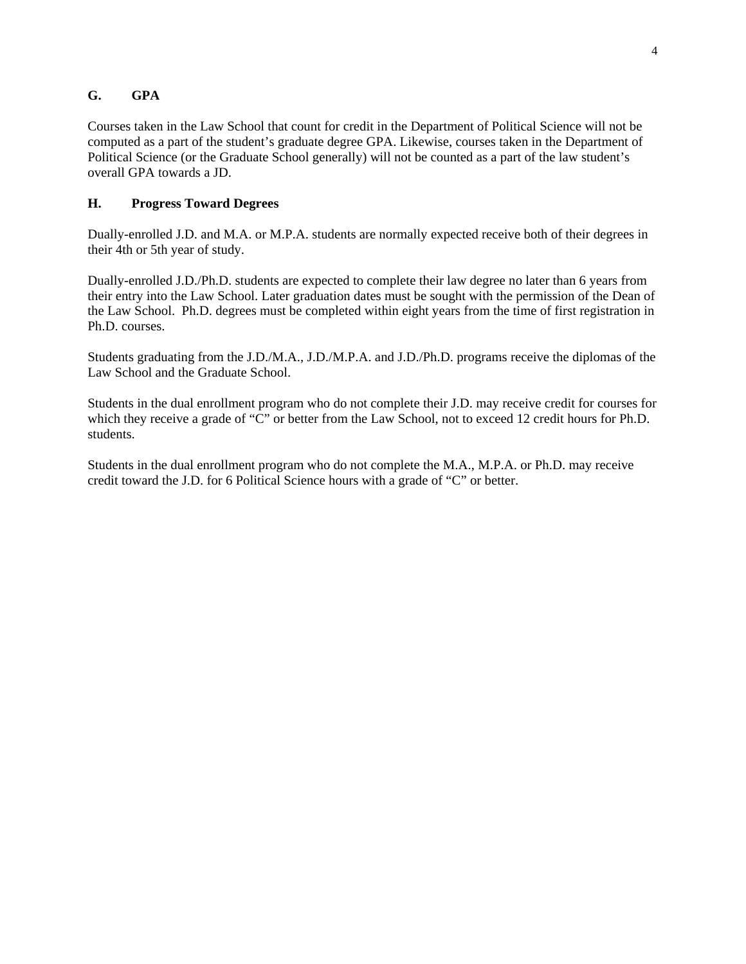# **G. GPA**

Courses taken in the Law School that count for credit in the Department of Political Science will not be computed as a part of the student's graduate degree GPA. Likewise, courses taken in the Department of Political Science (or the Graduate School generally) will not be counted as a part of the law student's overall GPA towards a JD.

## **H. Progress Toward Degrees**

Dually-enrolled J.D. and M.A. or M.P.A. students are normally expected receive both of their degrees in their 4th or 5th year of study.

Dually-enrolled J.D./Ph.D. students are expected to complete their law degree no later than 6 years from their entry into the Law School. Later graduation dates must be sought with the permission of the Dean of the Law School. Ph.D. degrees must be completed within eight years from the time of first registration in Ph.D. courses.

Students graduating from the J.D./M.A., J.D./M.P.A. and J.D./Ph.D. programs receive the diplomas of the Law School and the Graduate School.

Students in the dual enrollment program who do not complete their J.D. may receive credit for courses for which they receive a grade of "C" or better from the Law School, not to exceed 12 credit hours for Ph.D. students.

Students in the dual enrollment program who do not complete the M.A., M.P.A. or Ph.D. may receive credit toward the J.D. for 6 Political Science hours with a grade of "C" or better.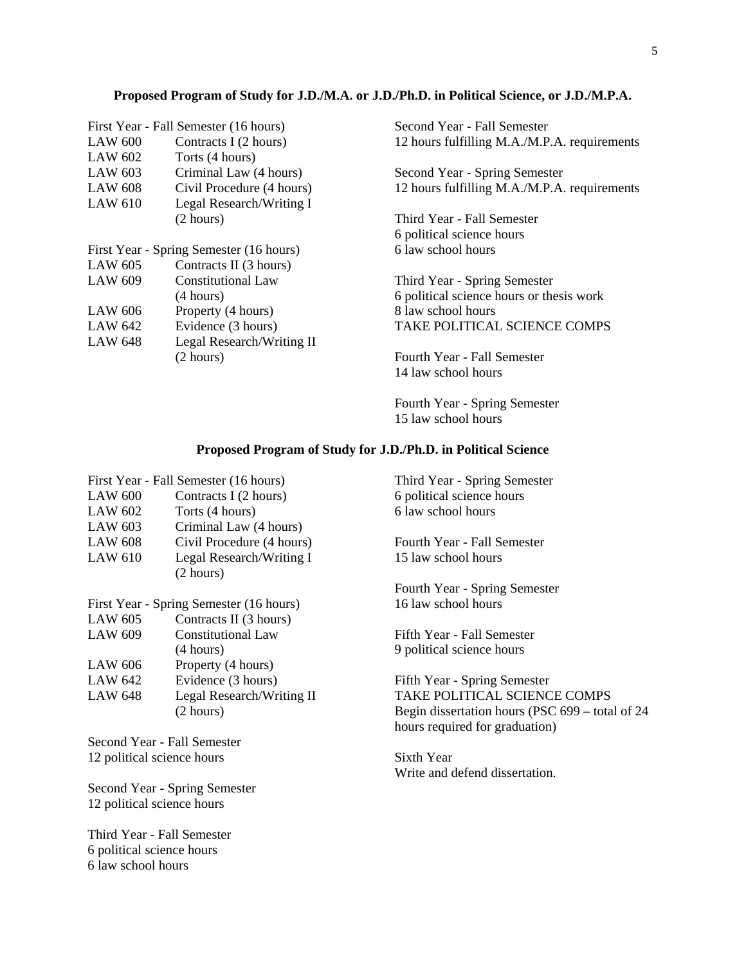#### **Proposed Program of Study for J.D./M.A. or J.D./Ph.D. in Political Science, or J.D./M.P.A.**

|                | First Year - Fall Semester (16 hours)   | Second Year - Fall Semester                  |
|----------------|-----------------------------------------|----------------------------------------------|
| <b>LAW 600</b> | Contracts I (2 hours)                   | 12 hours fulfilling M.A./M.P.A. requirements |
| LAW 602        | Torts (4 hours)                         |                                              |
| LAW 603        | Criminal Law (4 hours)                  | Second Year - Spring Semester                |
| <b>LAW 608</b> | Civil Procedure (4 hours)               | 12 hours fulfilling M.A./M.P.A. requirements |
| LAW 610        | Legal Research/Writing I                |                                              |
|                | (2 hours)                               | Third Year - Fall Semester                   |
|                |                                         | 6 political science hours                    |
|                | First Year - Spring Semester (16 hours) | 6 law school hours                           |
| LAW 605        | Contracts II (3 hours)                  |                                              |
| <b>LAW 609</b> | <b>Constitutional Law</b>               | Third Year - Spring Semester                 |
|                | (4 hours)                               | 6 political science hours or thesis work     |
| LAW 606        | Property (4 hours)                      | 8 law school hours                           |
| LAW 642        | Evidence (3 hours)                      | <b>TAKE POLITICAL SCIENCE COMPS</b>          |
| <b>LAW 648</b> | Legal Research/Writing II               |                                              |
|                | (2 hours)                               | Fourth Year - Fall Semester                  |
|                |                                         | 14 law school hours                          |

Fourth Year - Spring Semester 15 law school hours

### **Proposed Program of Study for J.D./Ph.D. in Political Science**

|                | First Year - Fall Semester (16 hours) |
|----------------|---------------------------------------|
| <b>LAW 600</b> | Contracts I (2 hours)                 |
| <b>LAW 602</b> | Torts (4 hours)                       |
| <b>LAW 603</b> | Criminal Law (4 hours)                |
| <b>LAW 608</b> | Civil Procedure (4 hours)             |
| <b>LAW 610</b> | Legal Research/Writing I              |
|                | (2 hours)                             |
|                |                                       |

| First Year - Spring Semester (16 hours) |  |  |  |  |
|-----------------------------------------|--|--|--|--|
|-----------------------------------------|--|--|--|--|

| LAW 605        | Contracts II (3 hours)    |
|----------------|---------------------------|
| <b>LAW 609</b> | <b>Constitutional Law</b> |
|                | (4 hours)                 |
| <b>LAW 606</b> | Property (4 hours)        |
| LAW 642        | Evidence (3 hours)        |
| <b>LAW 648</b> | Legal Research/Writing II |
|                | (2 hours)                 |
|                |                           |

Second Year - Fall Semester 12 political science hours

Second Year - Spring Semester 12 political science hours

Third Year - Fall Semester 6 political science hours 6 law school hours

Third Year - Spring Semester 6 political science hours 6 law school hours

Fourth Year - Fall Semester 15 law school hours

Fourth Year - Spring Semester 16 law school hours

Fifth Year - Fall Semester 9 political science hours

Fifth Year - Spring Semester TAKE POLITICAL SCIENCE COMPS Begin dissertation hours (PSC 699 – total of 24 hours required for graduation)

Sixth Year Write and defend dissertation.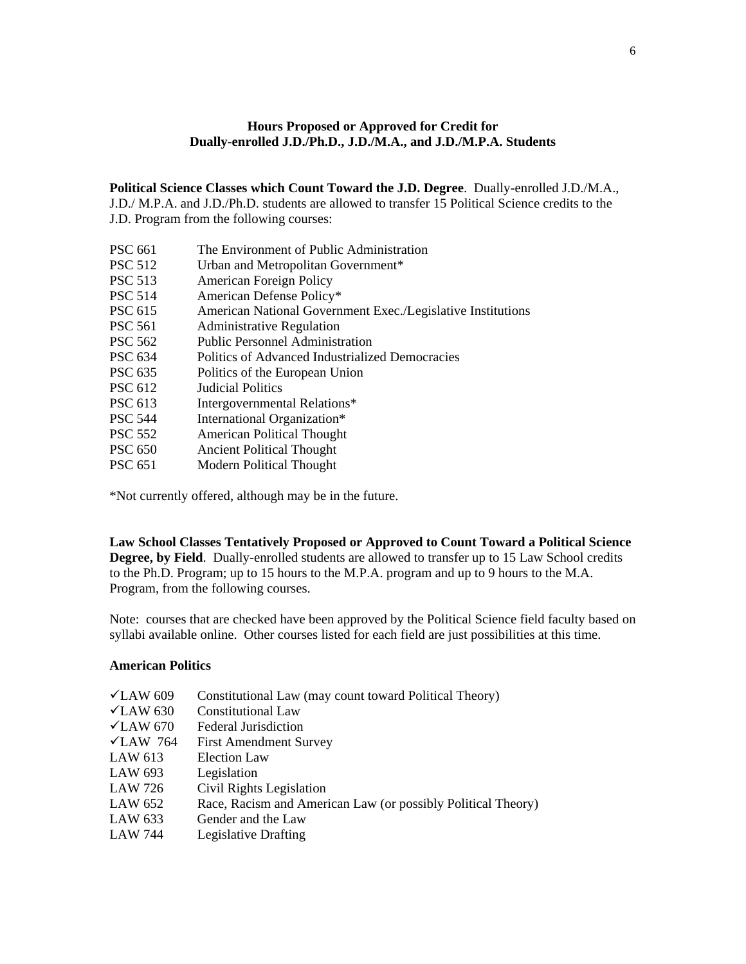## **Hours Proposed or Approved for Credit for Dually-enrolled J.D./Ph.D., J.D./M.A., and J.D./M.P.A. Students**

**Political Science Classes which Count Toward the J.D. Degree**. Dually-enrolled J.D./M.A., J.D./ M.P.A. and J.D./Ph.D. students are allowed to transfer 15 Political Science credits to the J.D. Program from the following courses:

- PSC 661 The Environment of Public Administration
- PSC 512 Urban and Metropolitan Government\*
- PSC 513 American Foreign Policy
- PSC 514 American Defense Policy\*
- PSC 615 American National Government Exec./Legislative Institutions
- PSC 561 Administrative Regulation
- PSC 562 Public Personnel Administration
- PSC 634 Politics of Advanced Industrialized Democracies
- PSC 635 Politics of the European Union
- PSC 612 Judicial Politics
- PSC 613 Intergovernmental Relations\*
- PSC 544 International Organization\*
- PSC 552 American Political Thought
- PSC 650 Ancient Political Thought
- PSC 651 Modern Political Thought

\*Not currently offered, although may be in the future.

**Law School Classes Tentatively Proposed or Approved to Count Toward a Political Science Degree, by Field**. Dually-enrolled students are allowed to transfer up to 15 Law School credits to the Ph.D. Program; up to 15 hours to the M.P.A. program and up to 9 hours to the M.A. Program, from the following courses.

Note: courses that are checked have been approved by the Political Science field faculty based on syllabi available online. Other courses listed for each field are just possibilities at this time.

### **American Politics**

| $\times$ LAW 609     | Constitutional Law (may count toward Political Theory)       |
|----------------------|--------------------------------------------------------------|
| $\sqrt{\rm LAW}$ 630 | <b>Constitutional Law</b>                                    |
| $\sqrt{\rm LAW}$ 670 | <b>Federal Jurisdiction</b>                                  |
| $\sqrt{LAW}$ 764     | <b>First Amendment Survey</b>                                |
| LAW 613              | <b>Election Law</b>                                          |
| LAW 693              | Legislation                                                  |
| LAW 726              | Civil Rights Legislation                                     |
| LAW 652              | Race, Racism and American Law (or possibly Political Theory) |
| LAW 633              | Gender and the Law                                           |
| <b>LAW 744</b>       | Legislative Drafting                                         |
|                      |                                                              |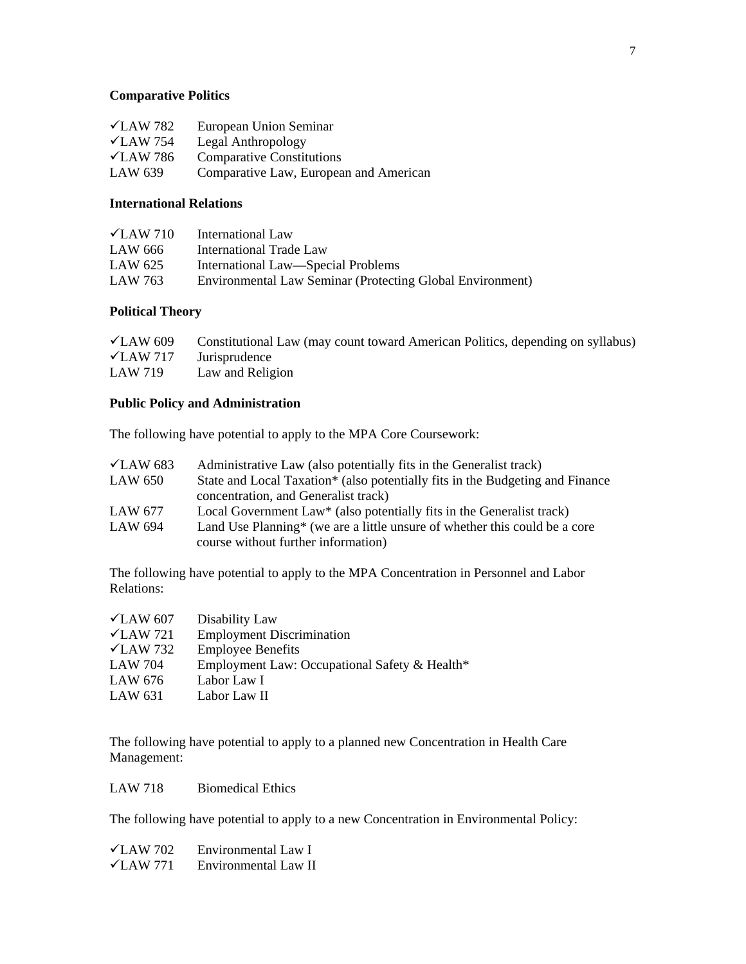### **Comparative Politics**

| $\sqrt{\rm LAW}$ 782 | European Union Seminar                 |
|----------------------|----------------------------------------|
| $\sqrt{\rm LAW}$ 754 | Legal Anthropology                     |
| $\sqrt{LAW}$ 786     | <b>Comparative Constitutions</b>       |
| LAW 639              | Comparative Law, European and American |

### **International Relations**

| $\sqrt{LAW}$ 710 | International Law                                         |
|------------------|-----------------------------------------------------------|
| LAW 666          | International Trade Law                                   |
| LAW 625          | International Law—Special Problems                        |
| LAW 763          | Environmental Law Seminar (Protecting Global Environment) |

## **Political Theory**

| $\sqrt{\rm LAW}$ 609 | Constitutional Law (may count toward American Politics, depending on syllabus) |
|----------------------|--------------------------------------------------------------------------------|
|                      | $\sqrt{\text{LAW } 717}$ Jurisprudence                                         |
| LAW 719              | Law and Religion                                                               |

## **Public Policy and Administration**

The following have potential to apply to the MPA Core Coursework:

| $\sqrt{\rm LAW}$ 683 | Administrative Law (also potentially fits in the Generalist track)                     |
|----------------------|----------------------------------------------------------------------------------------|
| LAW 650              | State and Local Taxation* (also potentially fits in the Budgeting and Finance          |
|                      | concentration, and Generalist track)                                                   |
| LAW 677              | Local Government Law* (also potentially fits in the Generalist track)                  |
| LAW 694              | Land Use Planning <sup>*</sup> (we are a little unsure of whether this could be a core |
|                      | course without further information)                                                    |

The following have potential to apply to the MPA Concentration in Personnel and Labor Relations:

| $\sqrt{\rm LAW}$ 607 | Disability Law                                |
|----------------------|-----------------------------------------------|
| $\sqrt{\rm LAW}$ 721 | <b>Employment Discrimination</b>              |
| $\sqrt{\rm LAW}$ 732 | <b>Employee Benefits</b>                      |
| LAW 704              | Employment Law: Occupational Safety & Health* |
| LAW 676              | Labor Law I                                   |
| LAW 631              | Labor Law II                                  |

The following have potential to apply to a planned new Concentration in Health Care Management:

LAW 718 Biomedical Ethics

The following have potential to apply to a new Concentration in Environmental Policy:

| $\sqrt{LAW}$ 702 | Environmental Law I  |
|------------------|----------------------|
| $\sqrt{LAW 771}$ | Environmental Law II |